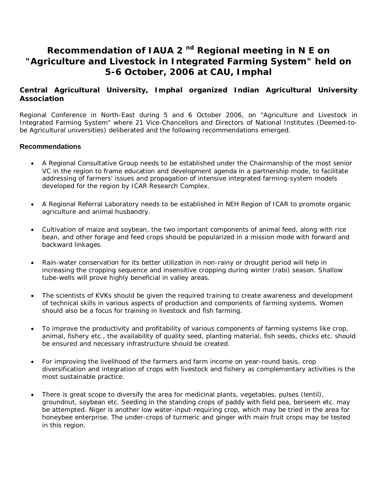## **Recommendation of IAUA 2 nd Regional meeting in N E on "Agriculture and Livestock in Integrated Farming System" held on 5-6 October, 2006 at CAU, Imphal**

## **Central Agricultural University, Imphal organized Indian Agricultural University Association**

Regional Conference in North-East during 5 and 6 October 2006, on "Agriculture and Livestock in Integrated Farming System" where 21 Vice-Chancellors and Directors of National Institutes (Deemed-tobe Agricultural universities) deliberated and the following recommendations emerged.

## **Recommendations**

- A Regional Consultative Group needs to be established under the Chairmanship of the most senior VC in the region to frame education and development agenda in a partnership mode, to facilitate addressing of farmers' issues and propagation of intensive integrated farming-system models developed for the region by ICAR Research Complex.
- A Regional Referral Laboratory needs to be established in NEH Region of ICAR to promote organic agriculture and animal husbandry.
- Cultivation of maize and soybean, the two important components of animal feed, along with rice bean, and other forage and feed crops should be popularized in a mission mode with forward and backward linkages.
- Rain-water conservation for its better utilization in non-rainy or drought period will help in increasing the cropping sequence and insensitive cropping during winter (rabi) season. Shallow tube-wells will prove highly beneficial in valley areas.
- The scientists of KVKs should be given the required training to create awareness and development of technical skills in various aspects of production and components of farming systems. Women should also be a focus for training in livestock and fish farming.
- To improve the productivity and profitability of various components of farming systems like crop, animal, fishery etc., the availability of quality seed, planting material, fish seeds, chicks etc. should be ensured and necessary infrastructure should be created.
- For improving the livelihood of the farmers and farm income on year-round basis, crop diversification and integration of crops with livestock and fishery as complementary activities is the most sustainable practice.
- There is great scope to diversify the area for medicinal plants, vegetables, pulses (lentil), groundnut, soybean etc. Seeding in the standing crops of paddy with field pea, berseem etc. may be attempted. Niger is another low water-input-requiring crop, which may be tried in the area for honeybee enterprise. The under-crops of turmeric and ginger with main fruit crops may be tested in this region.